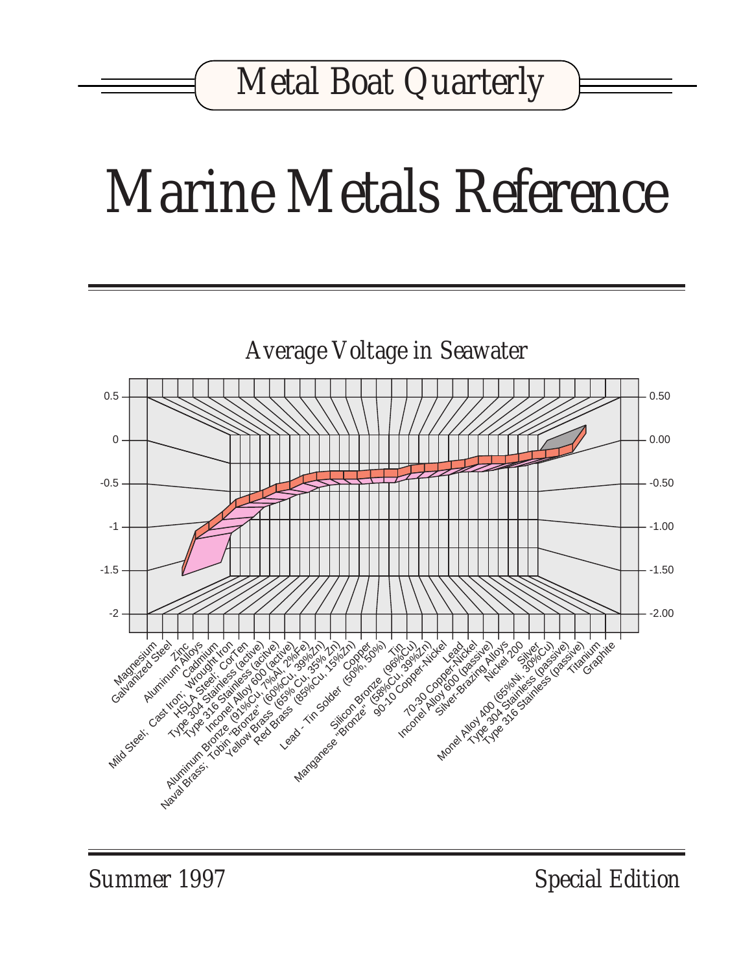## *Marine Metals Reference*



*Summer 1997 Special Edition*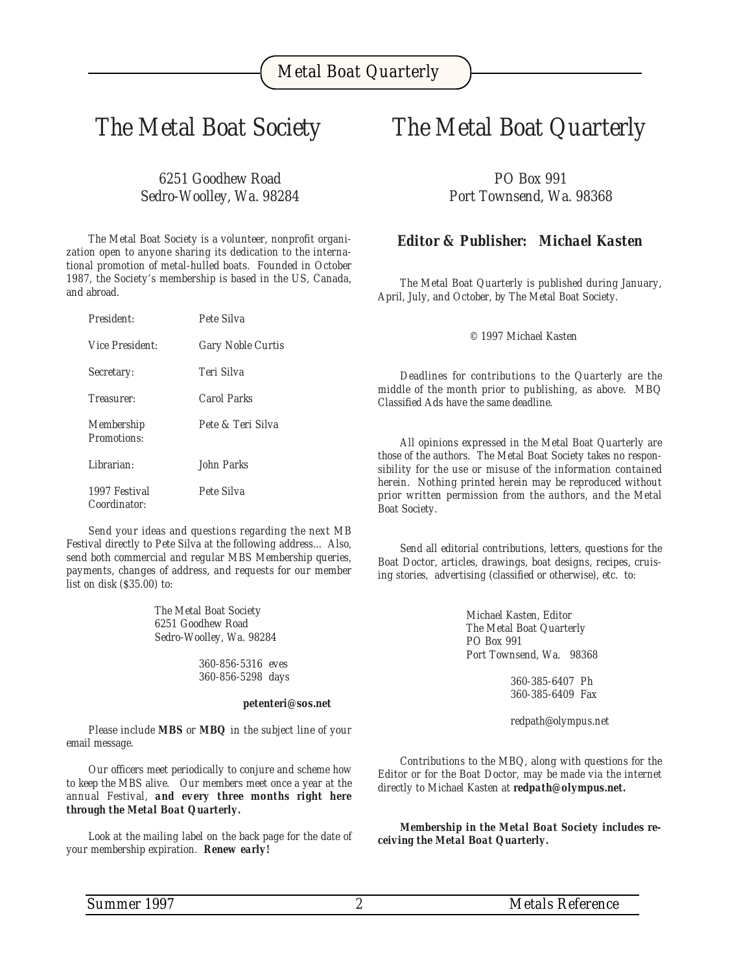#### *The Metal Boat Society*

*6251 Goodhew Road Sedro-Woolley, Wa. 98284*

*The Metal Boat Society is a volunteer, nonprofit organization open to anyone sharing its dedication to the international promotion of metal-hulled boats. Founded in October 1987, the Society's membership is based in the US, Canada, and abroad.*

| Pete Silva               |                                                                                                               |
|--------------------------|---------------------------------------------------------------------------------------------------------------|
| <b>Gary Noble Curtis</b> | © 1997 Michael Kasten                                                                                         |
| Teri Silva               | Deadlines for contributions to the Q                                                                          |
| <b>Carol Parks</b>       | middle of the month prior to publishing, a<br>Classified Ads have the same deadline.                          |
| Pete & Teri Silva        |                                                                                                               |
|                          | All opinions expressed in the Metal Bo                                                                        |
| John Parks               | those of the authors. The Metal Boat Society<br>sibility for the use or misuse of the inform                  |
| Pete Silva               | herein. Nothing printed herein may be rep<br>prior written permission from the authors<br><b>Boat Society</b> |
|                          |                                                                                                               |

*Send your ideas and questions regarding the next MB Festival directly to Pete Silva at the following address... Also, send both commercial and regular MBS Membership queries, payments, changes of address, and requests for our member list on disk (\$35.00) to:*

> *The Metal Boat Society 6251 Goodhew Road Sedro-Woolley, Wa. 98284*

> > *360-856-5316 eves 360-856-5298 days*

#### *petenteri@sos.net*

*Please include MBS or MBQ in the subject line of your email message.*

*Our officers meet periodically to conjure and scheme how to keep the MBS alive. Our members meet once a year at the annual Festival, and every three months right here through the Metal Boat Quarterly.*

*Look at the mailing label on the back page for the date of your membership expiration. Renew early!*

#### *The Metal Boat Quarterly*

*PO Box 991 Port Townsend, Wa. 98368*

#### *Editor & Publisher: Michael Kasten*

*The Metal Boat Quarterly is published during January, April, July, and October, by The Metal Boat Society.*

*Deadlines for contributions to the Quarterly are the middle of the month prior to publishing, as above. MBQ*

*All opinions expressed in the Metal Boat Quarterly are* takes no respon*sibility for the use or misuse of the information contained herein. Nothing printed herein may be reproduced without prior written permission from the authors, and the Metal Boat Society.*

*Send all editorial contributions, letters, questions for the Boat Doctor, articles, drawings, boat designs, recipes, cruising stories, advertising (classified or otherwise), etc. to:*

> *Michael Kasten, Editor The Metal Boat Quarterly PO Box 991 Port Townsend, Wa. 98368*

> > *360-385-6407 Ph 360-385-6409 Fax*

*redpath@olympus.net*

*Contributions to the MBQ, along with questions for the Editor or for the Boat Doctor, may be made via the internet directly to Michael Kasten at redpath@olympus.net.*

*Membership in the Metal Boat Society includes receiving the Metal Boat Quarterly.*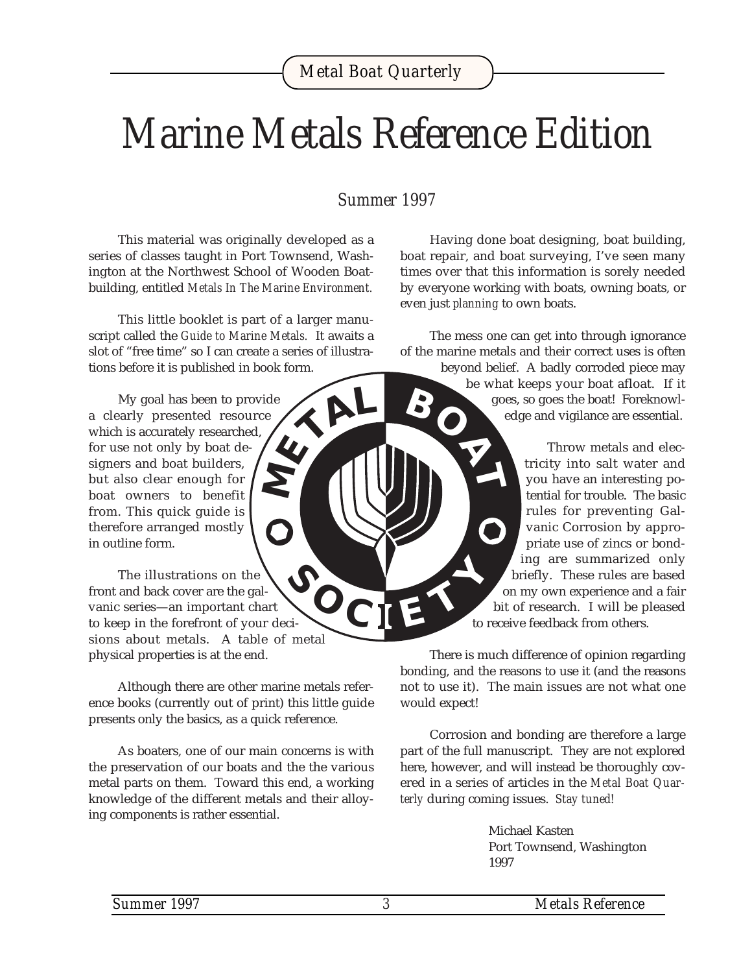## *Marine Metals Reference Edition*

#### *Summer 1997*

This material was originally developed as a series of classes taught in Port Townsend, Washington at the Northwest School of Wooden Boatbuilding, entitled *Metals In The Marine Environment.*

This little booklet is part of a larger manuscript called the *Guide to Marine Metals.* It awaits a slot of "free time" so I can create a series of illustrations before it is published in book form. **<sup>M</sup>ETA<sup>L</sup> <sup>B</sup>OA<sup>T</sup>**

My goal has been to provide a clearly presented resource which is accurately researched, for use not only by boat designers and boat builders, but also clear enough for boat owners to benefit from. This quick guide is therefore arranged mostly in outline form.

The illustrations on the front and back cover are the galvanic series—an important chart to keep in the forefront of your decisions about metals. A table of metal physical properties is at the end.  $\sqrt{2}$   $\text{CI}$ 

Although there are other marine metals reference books (currently out of print) this little guide presents only the basics, as a quick reference.

As boaters, one of our main concerns is with the preservation of our boats and the the various metal parts on them. Toward this end, a working knowledge of the different metals and their alloying components is rather essential.

Having done boat designing, boat building, boat repair, and boat surveying, I've seen many times over that this information is sorely needed by everyone working with boats, owning boats, or even just *planning* to own boats.

The mess one can get into through ignorance of the marine metals and their correct uses is often

> beyond belief. A badly corroded piece may be what keeps your boat afloat. If it goes, so goes the boat! Foreknowledge and vigilance are essential.

> > Throw metals and electricity into salt water and you have an interesting potential for trouble. The basic rules for preventing Galvanic Corrosion by appropriate use of zincs or bonding are summarized only briefly. These rules are based on my own experience and a fair bit of research. I will be pleased to receive feedback from others.

There is much difference of opinion regarding bonding, and the reasons to use it (and the reasons not to use it). The main issues are not what one would expect!

Corrosion and bonding are therefore a large part of the full manuscript. They are not explored here, however, and will instead be thoroughly covered in a series of articles in the *Metal Boat Quarterly* during coming issues. *Stay tuned!*

> Michael Kasten Port Townsend, Washington 1997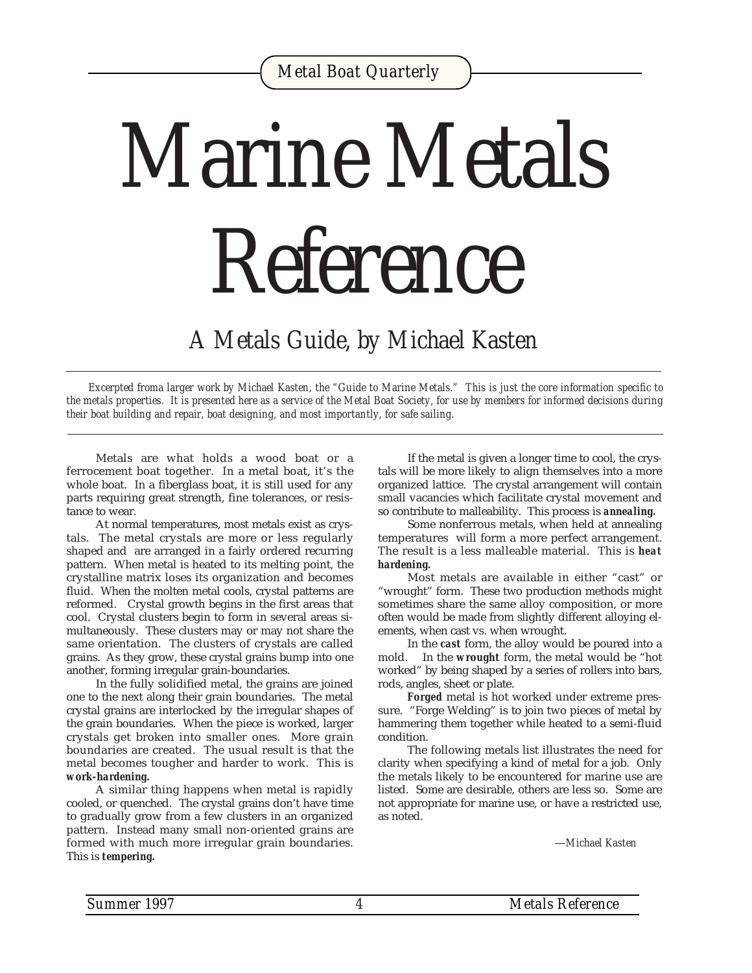# *Marine Metals Reference*

#### *A Metals Guide, by Michael Kasten*

*Excerpted froma larger work by Michael Kasten, the "Guide to Marine Metals." This is just the core information specific to the metals properties. It is presented here as a service of the Metal Boat Society, for use by members for informed decisions during their boat building and repair, boat designing, and most importantly, for safe sailing.*

Metals are what holds a wood boat or a ferrocement boat together. In a metal boat, it's the whole boat. In a fiberglass boat, it is still used for any parts requiring great strength, fine tolerances, or resistance to wear.

At normal temperatures, most metals exist as crystals. The metal crystals are more or less regularly shaped and are arranged in a fairly ordered recurring pattern. When metal is heated to its melting point, the crystalline matrix loses its organization and becomes fluid. When the molten metal cools, crystal patterns are reformed. Crystal growth begins in the first areas that cool. Crystal clusters begin to form in several areas simultaneously. These clusters may or may not share the same orientation. The clusters of crystals are called grains. As they grow, these crystal grains bump into one another, forming irregular grain-boundaries.

In the fully solidified metal, the grains are joined one to the next along their grain boundaries. The metal crystal grains are interlocked by the irregular shapes of the grain boundaries. When the piece is worked, larger crystals get broken into smaller ones. More grain boundaries are created. The usual result is that the metal becomes tougher and harder to work. This is *work-hardening.*

A similar thing happens when metal is rapidly cooled, or quenched. The crystal grains don't have time to gradually grow from a few clusters in an organized pattern. Instead many small non-oriented grains are formed with much more irregular grain boundaries. This is *tempering.*

If the metal is given a longer time to cool, the crystals will be more likely to align themselves into a more organized lattice. The crystal arrangement will contain small vacancies which facilitate crystal movement and so contribute to malleability. This process is *annealing.*

Some nonferrous metals, when held at annealing temperatures will form a more perfect arrangement. The result is a less malleable material. This is *heat hardening.*

Most metals are available in either "cast" or "wrought" form. These two production methods might sometimes share the same alloy composition, or more often would be made from slightly different alloying elements, when cast vs. when wrought.

In the *cast* form, the alloy would be poured into a mold. In the *wrought* form, the metal would be "hot worked" by being shaped by a series of rollers into bars, rods, angles, sheet or plate.

*Forged* metal is hot worked under extreme pressure. "Forge Welding" is to join two pieces of metal by hammering them together while heated to a semi-fluid condition.

The following metals list illustrates the need for clarity when specifying a kind of metal for a job. Only the metals likely to be encountered for marine use are listed. Some are desirable, others are less so. Some are not appropriate for marine use, or have a restricted use, as noted.

—*Michael Kasten*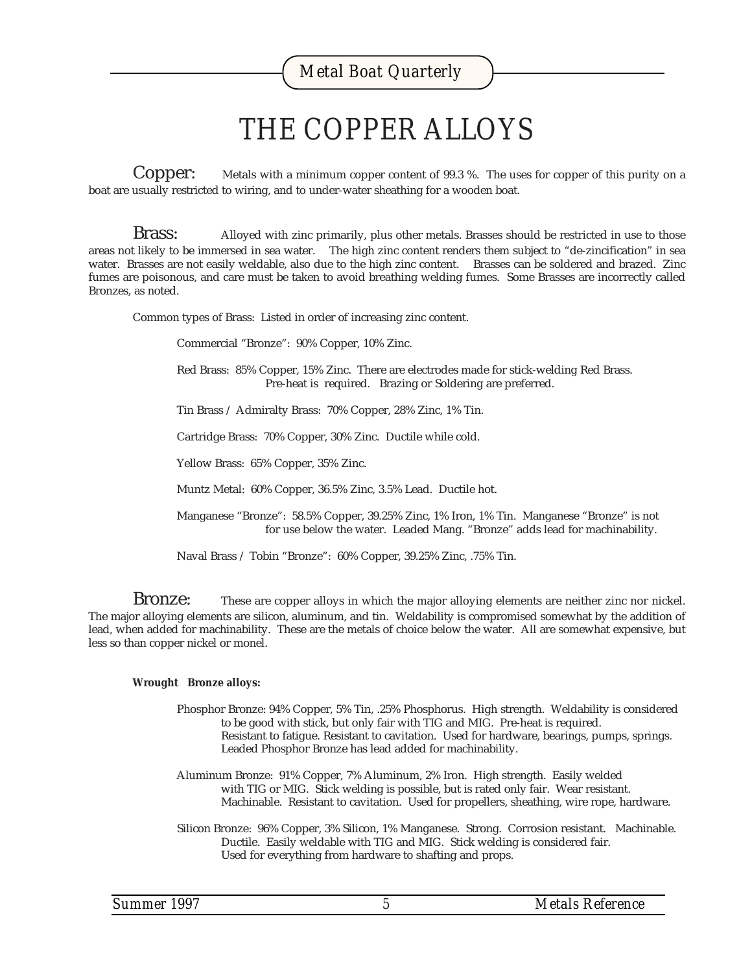### *THE COPPER ALLOYS*

**Copper:** Metals with a minimum copper content of 99.3 %. The uses for copper of this purity on a boat are usually restricted to wiring, and to under-water sheathing for a wooden boat.

**Brass:** Alloyed with zinc primarily, plus other metals. Brasses should be restricted in use to those areas not likely to be immersed in sea water. The high zinc content renders them subject to "de-zincification" in sea water. Brasses are not easily weldable, also due to the high zinc content. Brasses can be soldered and brazed. Zinc fumes are poisonous, and care must be taken to avoid breathing welding fumes. Some Brasses are incorrectly called Bronzes, as noted.

Common types of Brass: Listed in order of increasing zinc content.

Commercial "Bronze": 90% Copper, 10% Zinc.

Red Brass: 85% Copper, 15% Zinc. There are electrodes made for stick-welding Red Brass. Pre-heat is required. Brazing or Soldering are preferred.

Tin Brass / Admiralty Brass: 70% Copper, 28% Zinc, 1% Tin.

Cartridge Brass: 70% Copper, 30% Zinc. Ductile while cold.

Yellow Brass: 65% Copper, 35% Zinc.

Muntz Metal: 60% Copper, 36.5% Zinc, 3.5% Lead. Ductile hot.

Manganese "Bronze": 58.5% Copper, 39.25% Zinc, 1% Iron, 1% Tin. Manganese "Bronze" is not for use below the water. Leaded Mang. "Bronze" adds lead for machinability.

Naval Brass / Tobin "Bronze": 60% Copper, 39.25% Zinc, .75% Tin.

Bronze: These are copper alloys in which the major alloying elements are neither zinc nor nickel. The major alloying elements are silicon, aluminum, and tin. Weldability is compromised somewhat by the addition of lead, when added for machinability. These are the metals of choice below the water. All are somewhat expensive, but less so than copper nickel or monel.

#### **Wrought Bronze alloys:**

- Phosphor Bronze: 94% Copper, 5% Tin, .25% Phosphorus. High strength. Weldability is considered to be good with stick, but only fair with TIG and MIG. Pre-heat is required. Resistant to fatigue. Resistant to cavitation. Used for hardware, bearings, pumps, springs. Leaded Phosphor Bronze has lead added for machinability.
- Aluminum Bronze: 91% Copper, 7% Aluminum, 2% Iron. High strength. Easily welded with TIG or MIG. Stick welding is possible, but is rated only fair. Wear resistant. Machinable. Resistant to cavitation. Used for propellers, sheathing, wire rope, hardware.
- Silicon Bronze: 96% Copper, 3% Silicon, 1% Manganese. Strong. Corrosion resistant. Machinable. Ductile. Easily weldable with TIG and MIG. Stick welding is considered fair. Used for everything from hardware to shafting and props.

| Summer 1997 |  |
|-------------|--|
|-------------|--|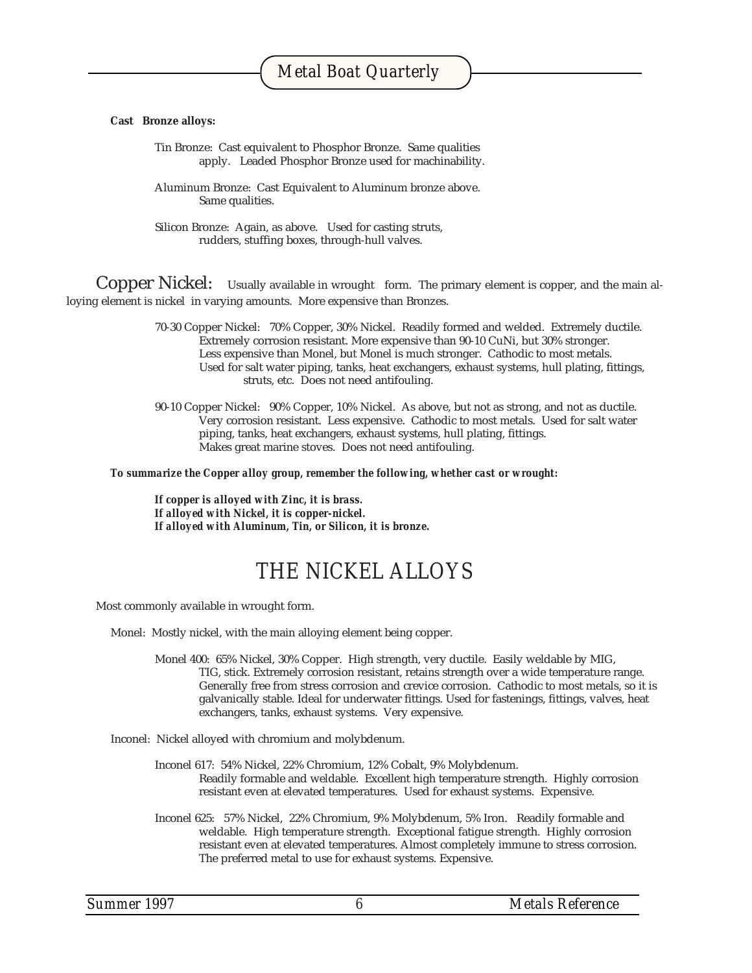#### **Cast Bronze alloys:**

Tin Bronze: Cast equivalent to Phosphor Bronze. Same qualities apply. Leaded Phosphor Bronze used for machinability.

Aluminum Bronze: Cast Equivalent to Aluminum bronze above. Same qualities.

Silicon Bronze: Again, as above. Used for casting struts, rudders, stuffing boxes, through-hull valves.

Copper Nickel: Usually available in wrought form. The primary element is copper, and the main alloying element is nickel in varying amounts. More expensive than Bronzes.

- 70-30 Copper Nickel: 70% Copper, 30% Nickel. Readily formed and welded. Extremely ductile. Extremely corrosion resistant. More expensive than 90-10 CuNi, but 30% stronger. Less expensive than Monel, but Monel is much stronger. Cathodic to most metals. Used for salt water piping, tanks, heat exchangers, exhaust systems, hull plating, fittings, struts, etc. Does not need antifouling.
- 90-10 Copper Nickel: 90% Copper, 10% Nickel. As above, but not as strong, and not as ductile. Very corrosion resistant. Less expensive. Cathodic to most metals. Used for salt water piping, tanks, heat exchangers, exhaust systems, hull plating, fittings. Makes great marine stoves. Does not need antifouling.

*To summarize the Copper alloy group, remember the following, whether cast or wrought:*

*If copper is alloyed with Zinc, it is brass. If alloyed with Nickel, it is copper-nickel. If alloyed with Aluminum, Tin, or Silicon, it is bronze.*

#### *THE NICKEL ALLOYS*

Most commonly available in wrought form.

Monel: Mostly nickel, with the main alloying element being copper.

Monel 400: 65% Nickel, 30% Copper. High strength, very ductile. Easily weldable by MIG, TIG, stick. Extremely corrosion resistant, retains strength over a wide temperature range. Generally free from stress corrosion and crevice corrosion. Cathodic to most metals, so it is galvanically stable. Ideal for underwater fittings. Used for fastenings, fittings, valves, heat exchangers, tanks, exhaust systems. Very expensive.

Inconel: Nickel alloyed with chromium and molybdenum.

- Inconel 617: 54% Nickel, 22% Chromium, 12% Cobalt, 9% Molybdenum. Readily formable and weldable. Excellent high temperature strength. Highly corrosion resistant even at elevated temperatures. Used for exhaust systems. Expensive.
- Inconel 625: 57% Nickel, 22% Chromium, 9% Molybdenum, 5% Iron. Readily formable and weldable. High temperature strength. Exceptional fatigue strength. Highly corrosion resistant even at elevated temperatures. Almost completely immune to stress corrosion. The preferred metal to use for exhaust systems. Expensive.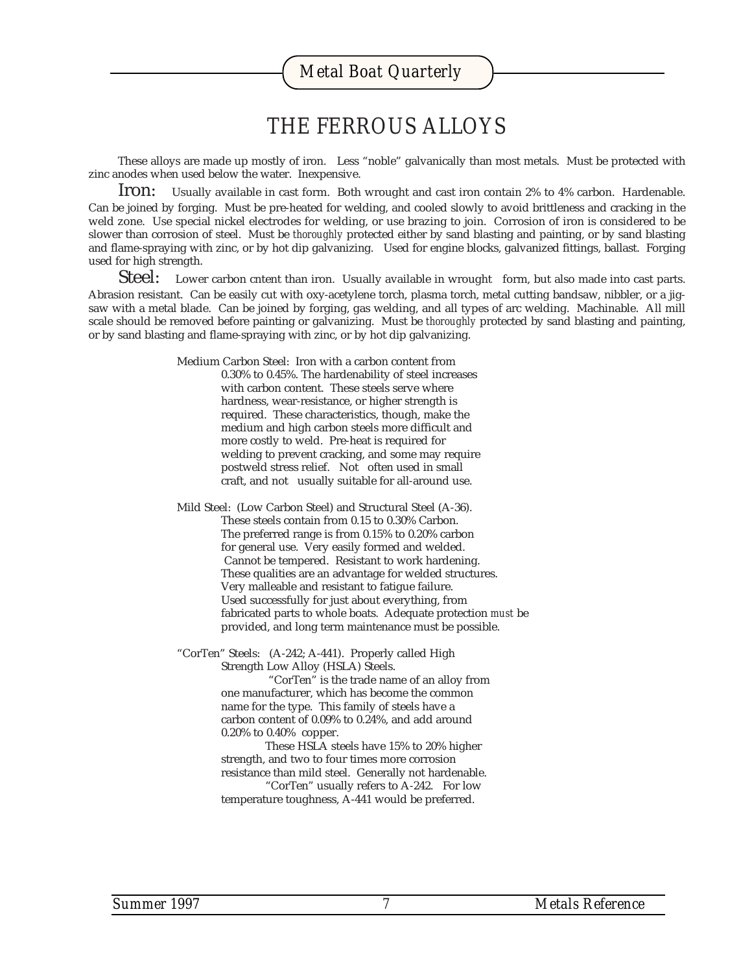#### *THE FERROUS ALLOYS*

These alloys are made up mostly of iron. Less "noble" galvanically than most metals. Must be protected with zinc anodes when used below the water. Inexpensive.

Iron: Usually available in cast form. Both wrought and cast iron contain 2% to 4% carbon. Hardenable. Can be joined by forging. Must be pre-heated for welding, and cooled slowly to avoid brittleness and cracking in the weld zone. Use special nickel electrodes for welding, or use brazing to join. Corrosion of iron is considered to be slower than corrosion of steel. Must be *thoroughly* protected either by sand blasting and painting, or by sand blasting and flame-spraying with zinc, or by hot dip galvanizing. Used for engine blocks, galvanized fittings, ballast. Forging used for high strength.

 $Steel:$  Lower carbon cntent than iron. Usually available in wrought form, but also made into cast parts. Abrasion resistant. Can be easily cut with oxy-acetylene torch, plasma torch, metal cutting bandsaw, nibbler, or a jigsaw with a metal blade. Can be joined by forging, gas welding, and all types of arc welding. Machinable. All mill scale should be removed before painting or galvanizing. Must be *thoroughly* protected by sand blasting and painting, or by sand blasting and flame-spraying with zinc, or by hot dip galvanizing.

> Medium Carbon Steel: Iron with a carbon content from 0.30% to 0.45%. The hardenability of steel increases with carbon content. These steels serve where hardness, wear-resistance, or higher strength is required. These characteristics, though, make the medium and high carbon steels more difficult and more costly to weld. Pre-heat is required for welding to prevent cracking, and some may require postweld stress relief. Not often used in small craft, and not usually suitable for all-around use.

Mild Steel: (Low Carbon Steel) and Structural Steel (A-36). These steels contain from 0.15 to 0.30% Carbon. The preferred range is from 0.15% to 0.20% carbon for general use. Very easily formed and welded. Cannot be tempered. Resistant to work hardening. These qualities are an advantage for welded structures. Very malleable and resistant to fatigue failure. Used successfully for just about everything, from fabricated parts to whole boats. Adequate protection *must* be provided, and long term maintenance must be possible.

"CorTen" Steels: (A-242; A-441). Properly called High Strength Low Alloy (HSLA) Steels.

> "CorTen" is the trade name of an alloy from one manufacturer, which has become the common name for the type. This family of steels have a carbon content of 0.09% to 0.24%, and add around 0.20% to 0.40% copper.

These HSLA steels have 15% to 20% higher strength, and two to four times more corrosion resistance than mild steel. Generally not hardenable.

"CorTen" usually refers to A-242. For low temperature toughness, A-441 would be preferred.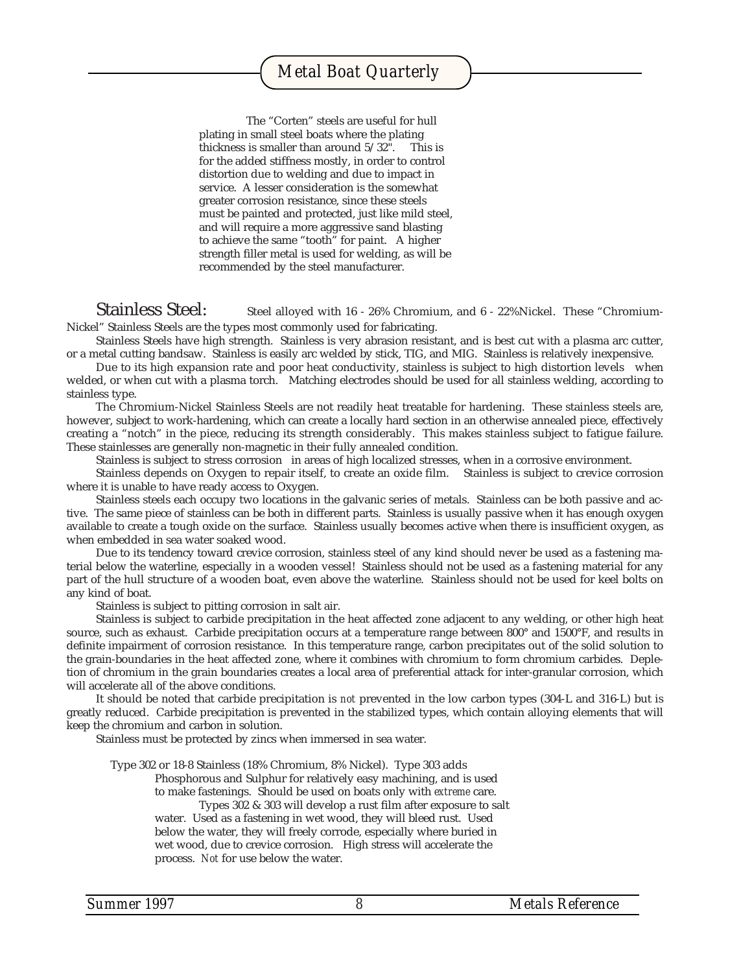The "Corten" steels are useful for hull plating in small steel boats where the plating thickness is smaller than around 5/32". This is for the added stiffness mostly, in order to control distortion due to welding and due to impact in service. A lesser consideration is the somewhat greater corrosion resistance, since these steels must be painted and protected, just like mild steel, and will require a more aggressive sand blasting to achieve the same "tooth" for paint. A higher strength filler metal is used for welding, as will be recommended by the steel manufacturer.

Stainless Steel: Steel alloyed with 16 - 26% Chromium, and 6 - 22% Nickel. These "Chromium-Nickel" Stainless Steels are the types most commonly used for fabricating.

Stainless Steels have high strength. Stainless is very abrasion resistant, and is best cut with a plasma arc cutter, or a metal cutting bandsaw. Stainless is easily arc welded by stick, TIG, and MIG. Stainless is relatively inexpensive.

Due to its high expansion rate and poor heat conductivity, stainless is subject to high distortion levels when welded, or when cut with a plasma torch. Matching electrodes should be used for all stainless welding, according to stainless type.

The Chromium-Nickel Stainless Steels are not readily heat treatable for hardening. These stainless steels are, however, subject to work-hardening, which can create a locally hard section in an otherwise annealed piece, effectively creating a "notch" in the piece, reducing its strength considerably. This makes stainless subject to fatigue failure. These stainlesses are generally non-magnetic in their fully annealed condition.

Stainless is subject to stress corrosion in areas of high localized stresses, when in a corrosive environment.

Stainless depends on Oxygen to repair itself, to create an oxide film. Stainless is subject to crevice corrosion where it is unable to have ready access to Oxygen.

Stainless steels each occupy two locations in the galvanic series of metals. Stainless can be both passive and active. The same piece of stainless can be both in different parts. Stainless is usually passive when it has enough oxygen available to create a tough oxide on the surface. Stainless usually becomes active when there is insufficient oxygen, as when embedded in sea water soaked wood.

Due to its tendency toward crevice corrosion, stainless steel of any kind should never be used as a fastening material below the waterline, especially in a wooden vessel! Stainless should not be used as a fastening material for any part of the hull structure of a wooden boat, even above the waterline. Stainless should not be used for keel bolts on any kind of boat.

Stainless is subject to pitting corrosion in salt air.

Stainless is subject to carbide precipitation in the heat affected zone adjacent to any welding, or other high heat source, such as exhaust. Carbide precipitation occurs at a temperature range between 800° and 1500°F, and results in definite impairment of corrosion resistance. In this temperature range, carbon precipitates out of the solid solution to the grain-boundaries in the heat affected zone, where it combines with chromium to form chromium carbides. Depletion of chromium in the grain boundaries creates a local area of preferential attack for inter-granular corrosion, which will accelerate all of the above conditions.

It should be noted that carbide precipitation is *not* prevented in the low carbon types (304-L and 316-L) but is greatly reduced. Carbide precipitation is prevented in the stabilized types, which contain alloying elements that will keep the chromium and carbon in solution.

Stainless must be protected by zincs when immersed in sea water.

Type 302 or 18-8 Stainless (18% Chromium, 8% Nickel). Type 303 adds

Phosphorous and Sulphur for relatively easy machining, and is used to make fastenings. Should be used on boats only with *extreme* care.

Types 302 & 303 will develop a rust film after exposure to salt water. Used as a fastening in wet wood, they will bleed rust. Used below the water, they will freely corrode, especially where buried in

wet wood, due to crevice corrosion. High stress will accelerate the process. *Not* for use below the water.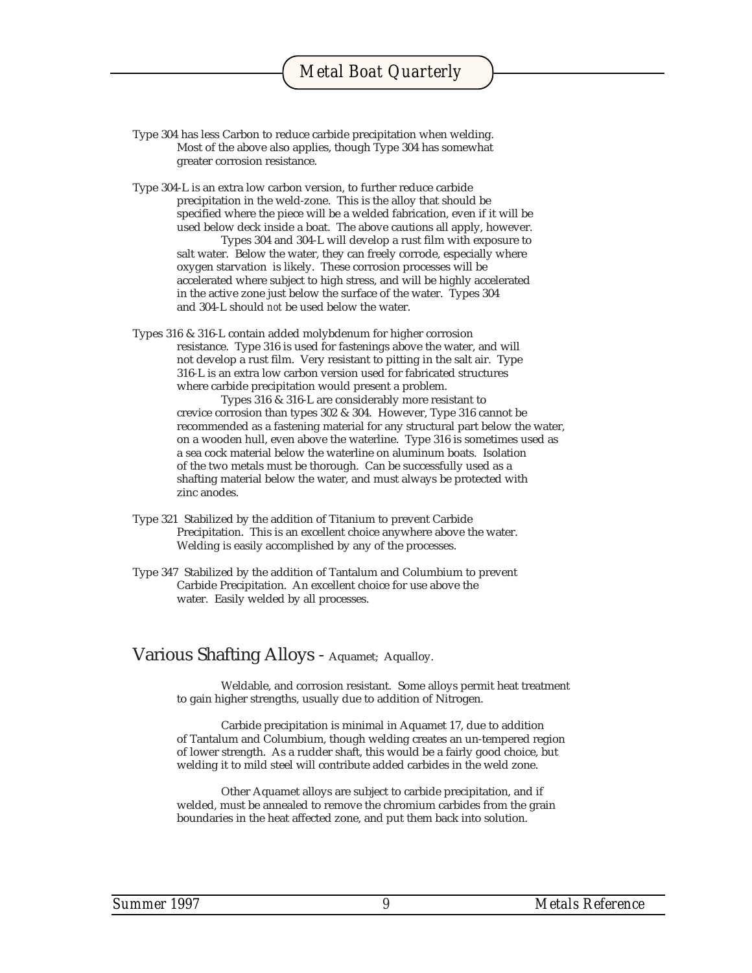Type 304 has less Carbon to reduce carbide precipitation when welding. Most of the above also applies, though Type 304 has somewhat greater corrosion resistance.

Type 304-L is an extra low carbon version, to further reduce carbide precipitation in the weld-zone. This is the alloy that should be specified where the piece will be a welded fabrication, even if it will be used below deck inside a boat. The above cautions all apply, however. Types 304 and 304-L will develop a rust film with exposure to salt water. Below the water, they can freely corrode, especially where oxygen starvation is likely. These corrosion processes will be accelerated where subject to high stress, and will be highly accelerated in the active zone just below the surface of the water. Types 304 and 304-L should *not* be used below the water.

Types 316 & 316-L contain added molybdenum for higher corrosion resistance. Type 316 is used for fastenings above the water, and will not develop a rust film. Very resistant to pitting in the salt air. Type 316-L is an extra low carbon version used for fabricated structures where carbide precipitation would present a problem.

> Types 316 & 316-L are considerably more resistant to crevice corrosion than types 302 & 304. However, Type 316 cannot be recommended as a fastening material for any structural part below the water, on a wooden hull, even above the waterline. Type 316 is sometimes used as a sea cock material below the waterline on aluminum boats. Isolation of the two metals must be thorough. Can be successfully used as a shafting material below the water, and must always be protected with zinc anodes.

- Type 321 Stabilized by the addition of Titanium to prevent Carbide Precipitation. This is an excellent choice anywhere above the water. Welding is easily accomplished by any of the processes.
- Type 347 Stabilized by the addition of Tantalum and Columbium to prevent Carbide Precipitation. An excellent choice for use above the water. Easily welded by all processes.

#### Various Shafting Alloys - Aquamet; Aqualloy.

Weldable, and corrosion resistant. Some alloys permit heat treatment to gain higher strengths, usually due to addition of Nitrogen.

Carbide precipitation is minimal in Aquamet 17, due to addition of Tantalum and Columbium, though welding creates an un-tempered region of lower strength. As a rudder shaft, this would be a fairly good choice, but welding it to mild steel will contribute added carbides in the weld zone.

Other Aquamet alloys are subject to carbide precipitation, and if welded, must be annealed to remove the chromium carbides from the grain boundaries in the heat affected zone, and put them back into solution.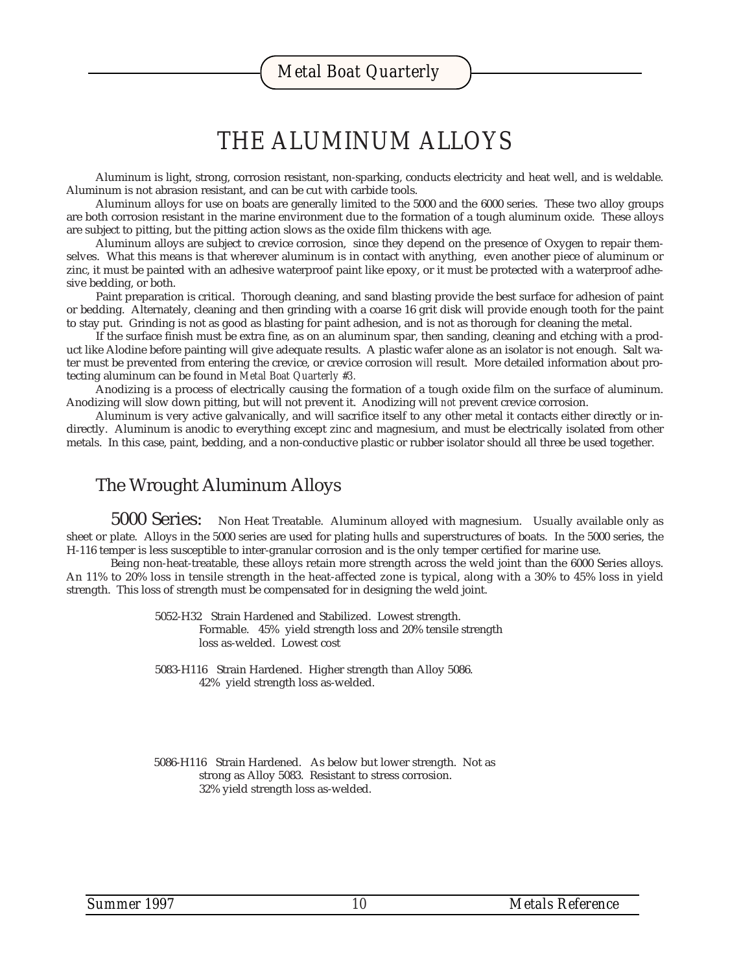#### *THE ALUMINUM ALLOYS*

Aluminum is light, strong, corrosion resistant, non-sparking, conducts electricity and heat well, and is weldable. Aluminum is not abrasion resistant, and can be cut with carbide tools.

Aluminum alloys for use on boats are generally limited to the 5000 and the 6000 series. These two alloy groups are both corrosion resistant in the marine environment due to the formation of a tough aluminum oxide. These alloys are subject to pitting, but the pitting action slows as the oxide film thickens with age.

Aluminum alloys are subject to crevice corrosion, since they depend on the presence of Oxygen to repair themselves. What this means is that wherever aluminum is in contact with anything, even another piece of aluminum or zinc, it must be painted with an adhesive waterproof paint like epoxy, or it must be protected with a waterproof adhesive bedding, or both.

Paint preparation is critical. Thorough cleaning, and sand blasting provide the best surface for adhesion of paint or bedding. Alternately, cleaning and then grinding with a coarse 16 grit disk will provide enough tooth for the paint to stay put. Grinding is not as good as blasting for paint adhesion, and is not as thorough for cleaning the metal.

If the surface finish must be extra fine, as on an aluminum spar, then sanding, cleaning and etching with a product like Alodine before painting will give adequate results. A plastic wafer alone as an isolator is not enough. Salt water must be prevented from entering the crevice, or crevice corrosion *will* result. More detailed information about protecting aluminum can be found in *Metal Boat Quarterly #3.*

Anodizing is a process of electrically causing the formation of a tough oxide film on the surface of aluminum. Anodizing will slow down pitting, but will not prevent it. Anodizing will *not* prevent crevice corrosion.

Aluminum is very active galvanically, and will sacrifice itself to any other metal it contacts either directly or indirectly. Aluminum is anodic to everything except zinc and magnesium, and must be electrically isolated from other metals. In this case, paint, bedding, and a non-conductive plastic or rubber isolator should all three be used together.

#### The Wrought Aluminum Alloys

5000 Series: Non Heat Treatable. Aluminum alloyed with magnesium. Usually available only as sheet or plate. Alloys in the 5000 series are used for plating hulls and superstructures of boats. In the 5000 series, the H-116 temper is less susceptible to inter-granular corrosion and is the only temper certified for marine use.

Being non-heat-treatable, these alloys retain more strength across the weld joint than the 6000 Series alloys. An 11% to 20% loss in tensile strength in the heat-affected zone is typical, along with a 30% to 45% loss in yield strength. This loss of strength must be compensated for in designing the weld joint.

> 5052-H32 Strain Hardened and Stabilized. Lowest strength. Formable. 45% yield strength loss and 20% tensile strength loss as-welded. Lowest cost

5083-H116 Strain Hardened. Higher strength than Alloy 5086. 42% yield strength loss as-welded.

5086-H116 Strain Hardened. As below but lower strength. Not as strong as Alloy 5083. Resistant to stress corrosion. 32% yield strength loss as-welded.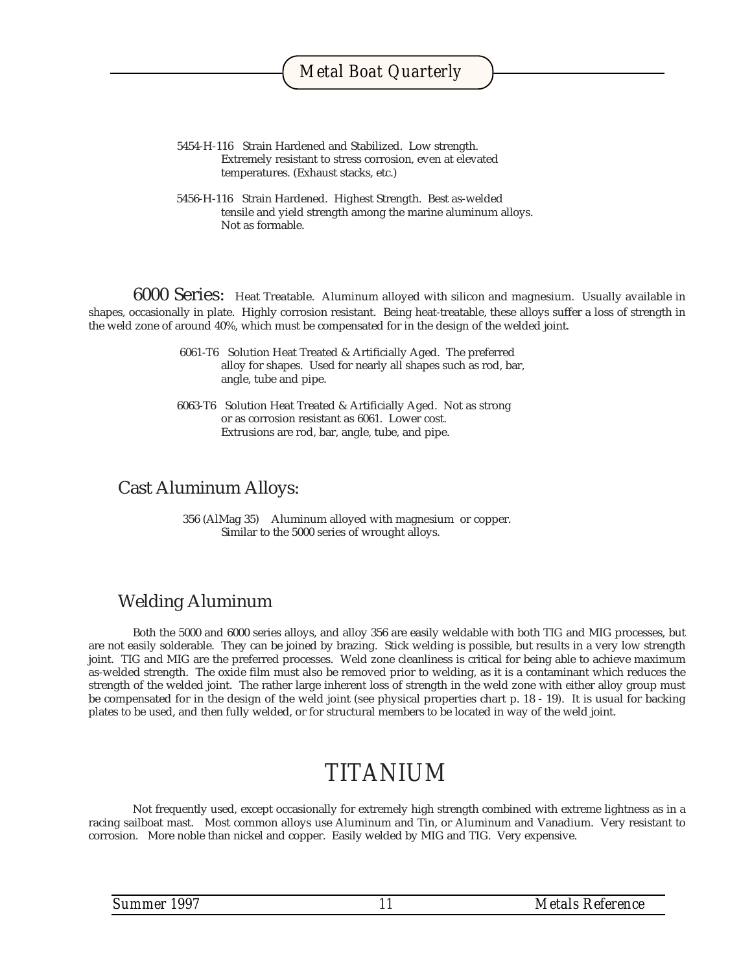- 5454-H-116 Strain Hardened and Stabilized. Low strength. Extremely resistant to stress corrosion, even at elevated temperatures. (Exhaust stacks, etc.)
- 5456-H-116 Strain Hardened. Highest Strength. Best as-welded tensile and yield strength among the marine aluminum alloys. Not as formable.

6000 Series: Heat Treatable. Aluminum alloyed with silicon and magnesium. Usually available in shapes, occasionally in plate. Highly corrosion resistant. Being heat-treatable, these alloys suffer a loss of strength in the weld zone of around 40%, which must be compensated for in the design of the welded joint.

- 6061-T6 Solution Heat Treated & Artificially Aged. The preferred alloy for shapes. Used for nearly all shapes such as rod, bar, angle, tube and pipe.
- 6063-T6 Solution Heat Treated & Artificially Aged. Not as strong or as corrosion resistant as 6061. Lower cost. Extrusions are rod, bar, angle, tube, and pipe.

#### Cast Aluminum Alloys:

 356 (AlMag 35) Aluminum alloyed with magnesium or copper. Similar to the 5000 series of wrought alloys.

#### Welding Aluminum

Both the 5000 and 6000 series alloys, and alloy 356 are easily weldable with both TIG and MIG processes, but are not easily solderable. They can be joined by brazing. Stick welding is possible, but results in a very low strength joint. TIG and MIG are the preferred processes. Weld zone cleanliness is critical for being able to achieve maximum as-welded strength. The oxide film must also be removed prior to welding, as it is a contaminant which reduces the strength of the welded joint. The rather large inherent loss of strength in the weld zone with either alloy group must be compensated for in the design of the weld joint (see physical properties chart p. 18 - 19). It is usual for backing plates to be used, and then fully welded, or for structural members to be located in way of the weld joint.

#### *TITANIUM*

Not frequently used, except occasionally for extremely high strength combined with extreme lightness as in a racing sailboat mast. Most common alloys use Aluminum and Tin, or Aluminum and Vanadium. Very resistant to corrosion. More noble than nickel and copper. Easily welded by MIG and TIG. Very expensive.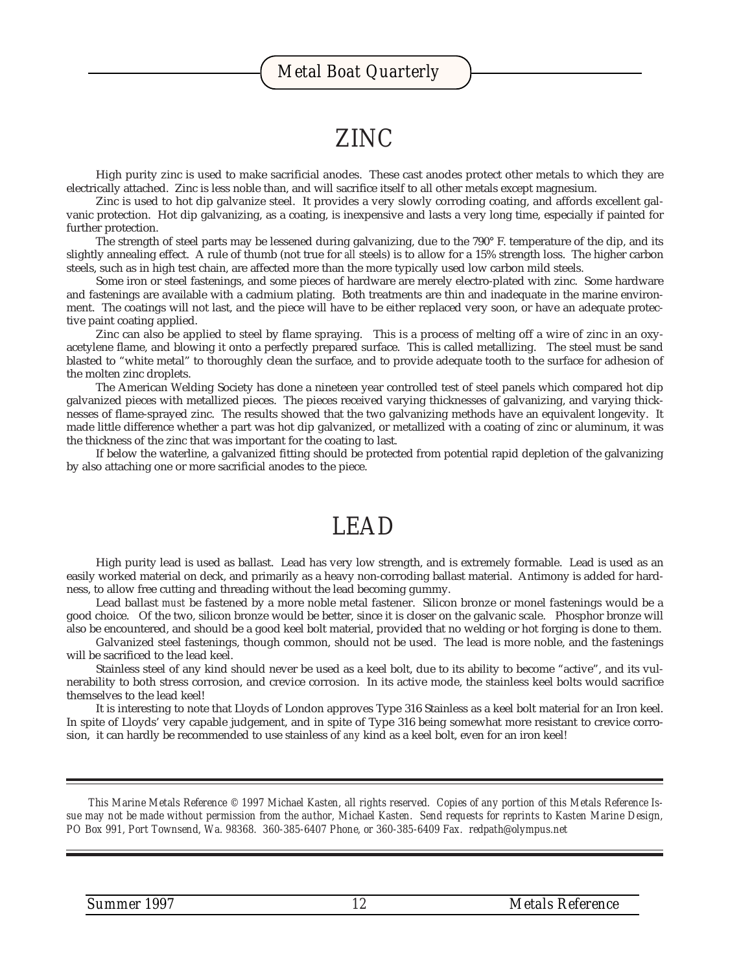#### *ZINC*

High purity zinc is used to make sacrificial anodes. These cast anodes protect other metals to which they are electrically attached. Zinc is less noble than, and will sacrifice itself to all other metals except magnesium.

Zinc is used to hot dip galvanize steel. It provides a very slowly corroding coating, and affords excellent galvanic protection. Hot dip galvanizing, as a coating, is inexpensive and lasts a very long time, especially if painted for further protection.

The strength of steel parts may be lessened during galvanizing, due to the 790° F. temperature of the dip, and its slightly annealing effect. A rule of thumb (not true for *all* steels) is to allow for a 15% strength loss. The higher carbon steels, such as in high test chain, are affected more than the more typically used low carbon mild steels.

Some iron or steel fastenings, and some pieces of hardware are merely electro-plated with zinc. Some hardware and fastenings are available with a cadmium plating. Both treatments are thin and inadequate in the marine environment. The coatings will not last, and the piece will have to be either replaced very soon, or have an adequate protective paint coating applied.

Zinc can also be applied to steel by flame spraying. This is a process of melting off a wire of zinc in an oxyacetylene flame, and blowing it onto a perfectly prepared surface. This is called metallizing. The steel must be sand blasted to "white metal" to thoroughly clean the surface, and to provide adequate tooth to the surface for adhesion of the molten zinc droplets.

The American Welding Society has done a nineteen year controlled test of steel panels which compared hot dip galvanized pieces with metallized pieces. The pieces received varying thicknesses of galvanizing, and varying thicknesses of flame-sprayed zinc. The results showed that the two galvanizing methods have an equivalent longevity. It made little difference whether a part was hot dip galvanized, or metallized with a coating of zinc or aluminum, it was the thickness of the zinc that was important for the coating to last.

If below the waterline, a galvanized fitting should be protected from potential rapid depletion of the galvanizing by also attaching one or more sacrificial anodes to the piece.

#### *LEAD*

High purity lead is used as ballast. Lead has very low strength, and is extremely formable. Lead is used as an easily worked material on deck, and primarily as a heavy non-corroding ballast material. Antimony is added for hardness, to allow free cutting and threading without the lead becoming gummy.

Lead ballast *must* be fastened by a more noble metal fastener. Silicon bronze or monel fastenings would be a good choice. Of the two, silicon bronze would be better, since it is closer on the galvanic scale. Phosphor bronze will also be encountered, and should be a good keel bolt material, provided that no welding or hot forging is done to them.

Galvanized steel fastenings, though common, should not be used. The lead is more noble, and the fastenings will be sacrificed to the lead keel.

Stainless steel of any kind should never be used as a keel bolt, due to its ability to become "active", and its vulnerability to both stress corrosion, and crevice corrosion. In its active mode, the stainless keel bolts would sacrifice themselves to the lead keel!

It is interesting to note that Lloyds of London approves Type 316 Stainless as a keel bolt material for an Iron keel. In spite of Lloyds' very capable judgement, and in spite of Type 316 being somewhat more resistant to crevice corrosion, it can hardly be recommended to use stainless of *any* kind as a keel bolt, even for an iron keel!

*This Marine Metals Reference © 1997 Michael Kasten, all rights reserved. Copies of any portion of this Metals Reference Issue may not be made without permission from the author, Michael Kasten. Send requests for reprints to Kasten Marine Design, PO Box 991, Port Townsend, Wa. 98368. 360-385-6407 Phone, or 360-385-6409 Fax. redpath@olympus.net*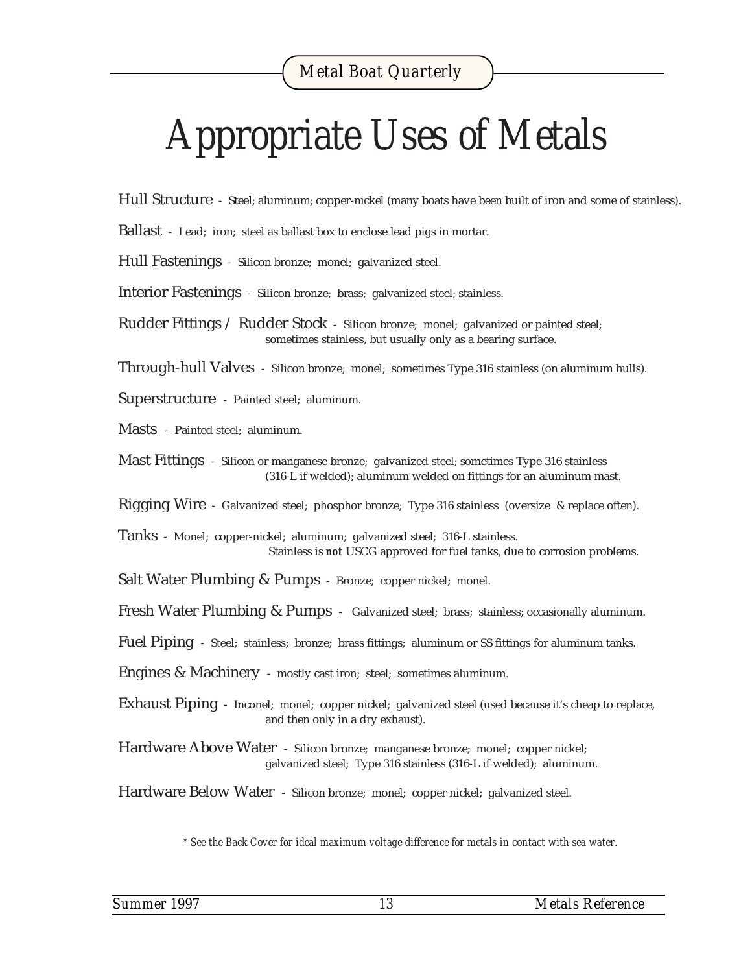## *Appropriate Uses of Metals*

Hull Structure - Steel; aluminum; copper-nickel (many boats have been built of iron and some of stainless).

Ballast - Lead; iron; steel as ballast box to enclose lead pigs in mortar.

Hull Fastenings - Silicon bronze; monel; galvanized steel.

Interior Fastenings - Silicon bronze; brass; galvanized steel; stainless.

Rudder Fittings / Rudder Stock - Silicon bronze; monel; galvanized or painted steel; sometimes stainless, but usually only as a bearing surface.

Through-hull Valves - Silicon bronze; monel; sometimes Type 316 stainless (on aluminum hulls).

Superstructure - Painted steel; aluminum.

Masts - Painted steel; aluminum.

Mast Fittings - Silicon or manganese bronze; galvanized steel; sometimes Type 316 stainless (316-L if welded); aluminum welded on fittings for an aluminum mast.

Rigging Wire - Galvanized steel; phosphor bronze; Type 316 stainless (oversize & replace often).

Tanks - Monel; copper-nickel; aluminum; galvanized steel; 316-L stainless. Stainless is *not* USCG approved for fuel tanks, due to corrosion problems.

Salt Water Plumbing & Pumps - Bronze; copper nickel; monel.

Fresh Water Plumbing & Pumps - Galvanized steel; brass; stainless; occasionally aluminum.

Fuel Piping - Steel; stainless; bronze; brass fittings; aluminum or SS fittings for aluminum tanks.

Engines & Machinery - mostly cast iron; steel; sometimes aluminum.

Exhaust Piping - Inconel; monel; copper nickel; galvanized steel (used because it's cheap to replace, and then only in a dry exhaust).

Hardware Above Water - Silicon bronze; manganese bronze; monel; copper nickel; galvanized steel; Type 316 stainless (316-L if welded); aluminum.

Hardware Below Water - Silicon bronze; monel; copper nickel; galvanized steel.

*\* See the Back Cover for ideal maximum voltage difference for metals in contact with sea water.*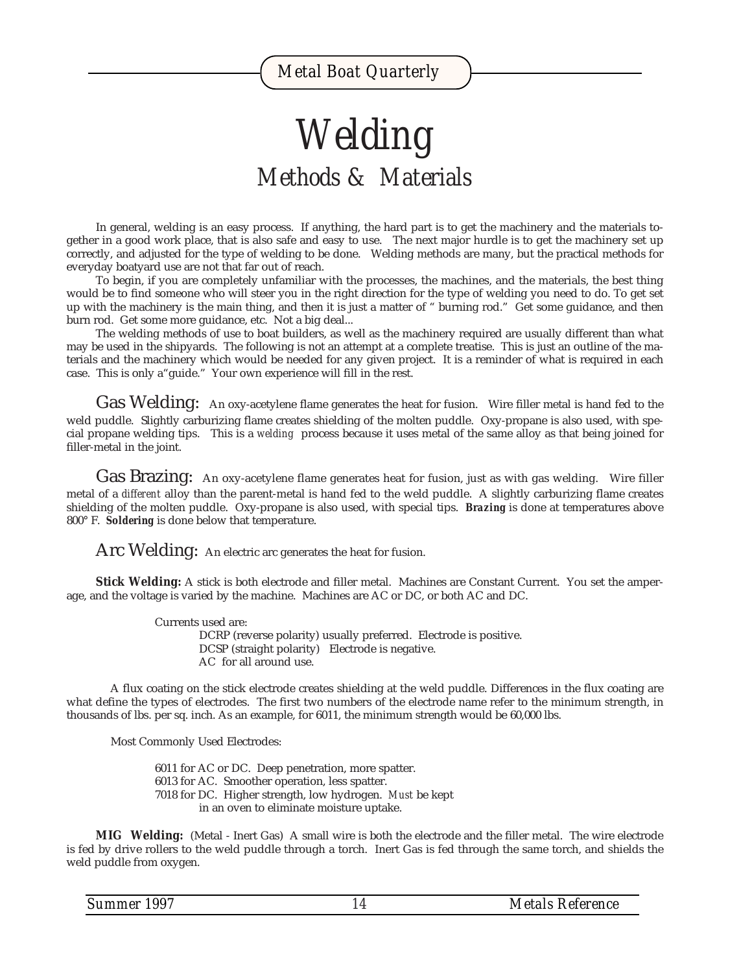## *Welding Methods & Materials*

In general, welding is an easy process. If anything, the hard part is to get the machinery and the materials together in a good work place, that is also safe and easy to use. The next major hurdle is to get the machinery set up correctly, and adjusted for the type of welding to be done. Welding methods are many, but the practical methods for everyday boatyard use are not that far out of reach.

To begin, if you are completely unfamiliar with the processes, the machines, and the materials, the best thing would be to find someone who will steer you in the right direction for the type of welding you need to do. To get set up with the machinery is the main thing, and then it is just a matter of " burning rod." Get some guidance, and then burn rod. Get some more guidance, etc. Not a big deal...

The welding methods of use to boat builders, as well as the machinery required are usually different than what may be used in the shipyards. The following is not an attempt at a complete treatise. This is just an outline of the materials and the machinery which would be needed for any given project. It is a reminder of what is required in each case. This is only a"guide." Your own experience will fill in the rest.

Gas Welding: An oxy-acetylene flame generates the heat for fusion. Wire filler metal is hand fed to the weld puddle. Slightly carburizing flame creates shielding of the molten puddle. Oxy-propane is also used, with special propane welding tips. This is a *welding* process because it uses metal of the same alloy as that being joined for filler-metal in the joint.

Gas Brazing: An oxy-acetylene flame generates heat for fusion, just as with gas welding. Wire filler metal of a *different* alloy than the parent-metal is hand fed to the weld puddle. A slightly carburizing flame creates shielding of the molten puddle. Oxy-propane is also used, with special tips. *Brazing* is done at temperatures above 800° F. *Soldering* is done below that temperature.

Arc Welding: An electric arc generates the heat for fusion.

**Stick Welding:** A stick is both electrode and filler metal. Machines are Constant Current. You set the amperage, and the voltage is varied by the machine. Machines are AC or DC, or both AC and DC.

> Currents used are: DCRP (reverse polarity) usually preferred. Electrode is positive. DCSP (straight polarity) Electrode is negative. AC for all around use.

A flux coating on the stick electrode creates shielding at the weld puddle. Differences in the flux coating are what define the types of electrodes. The first two numbers of the electrode name refer to the minimum strength, in thousands of lbs. per sq. inch. As an example, for 6011, the minimum strength would be 60,000 lbs.

Most Commonly Used Electrodes:

6011 for AC or DC. Deep penetration, more spatter. 6013 for AC. Smoother operation, less spatter. 7018 for DC. Higher strength, low hydrogen. *Must* be kept in an oven to eliminate moisture uptake.

**MIG Welding:** (Metal - Inert Gas) A small wire is both the electrode and the filler metal. The wire electrode is fed by drive rollers to the weld puddle through a torch. Inert Gas is fed through the same torch, and shields the weld puddle from oxygen.

| Summer 1997 | <b>Metals Reference</b> |
|-------------|-------------------------|
|-------------|-------------------------|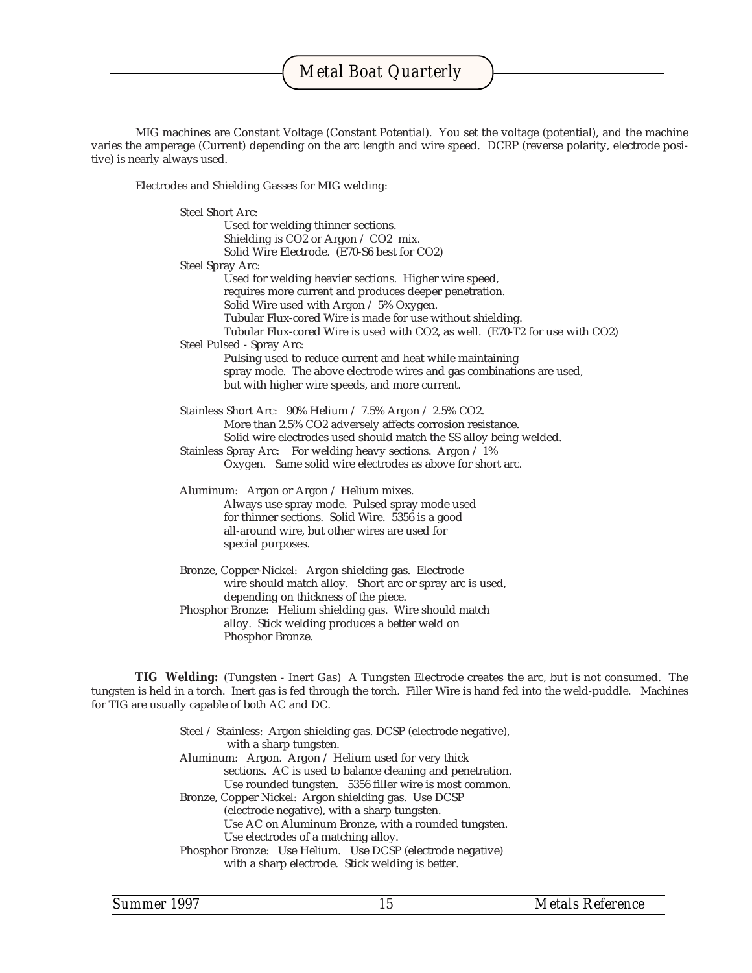MIG machines are Constant Voltage (Constant Potential). You set the voltage (potential), and the machine varies the amperage (Current) depending on the arc length and wire speed. DCRP (reverse polarity, electrode positive) is nearly always used.

Electrodes and Shielding Gasses for MIG welding:

Steel Short Arc: Used for welding thinner sections. Shielding is CO2 or Argon / CO2 mix. Solid Wire Electrode. (E70-S6 best for CO2) Steel Spray Arc: Used for welding heavier sections. Higher wire speed, requires more current and produces deeper penetration. Solid Wire used with Argon / 5% Oxygen. Tubular Flux-cored Wire is made for use without shielding. Tubular Flux-cored Wire is used with CO2, as well. (E70-T2 for use with CO2) Steel Pulsed - Spray Arc: Pulsing used to reduce current and heat while maintaining spray mode. The above electrode wires and gas combinations are used, but with higher wire speeds, and more current. Stainless Short Arc: 90% Helium / 7.5% Argon / 2.5% CO2. More than 2.5% CO2 adversely affects corrosion resistance. Solid wire electrodes used should match the SS alloy being welded. Stainless Spray Arc: For welding heavy sections. Argon / 1% Oxygen. Same solid wire electrodes as above for short arc. Aluminum: Argon or Argon / Helium mixes. Always use spray mode. Pulsed spray mode used for thinner sections. Solid Wire. 5356 is a good all-around wire, but other wires are used for special purposes. Bronze, Copper-Nickel: Argon shielding gas. Electrode wire should match alloy. Short arc or spray arc is used. depending on thickness of the piece. Phosphor Bronze: Helium shielding gas. Wire should match alloy. Stick welding produces a better weld on

Phosphor Bronze.

**TIG Welding:** (Tungsten - Inert Gas) A Tungsten Electrode creates the arc, but is not consumed. The tungsten is held in a torch. Inert gas is fed through the torch. Filler Wire is hand fed into the weld-puddle. Machines for TIG are usually capable of both AC and DC.

> Steel / Stainless: Argon shielding gas. DCSP (electrode negative), with a sharp tungsten. Aluminum: Argon. Argon / Helium used for very thick sections. AC is used to balance cleaning and penetration. Use rounded tungsten. 5356 filler wire is most common. Bronze, Copper Nickel: Argon shielding gas. Use DCSP (electrode negative), with a sharp tungsten. Use AC on Aluminum Bronze, with a rounded tungsten. Use electrodes of a matching alloy. Phosphor Bronze: Use Helium. Use DCSP (electrode negative) with a sharp electrode. Stick welding is better.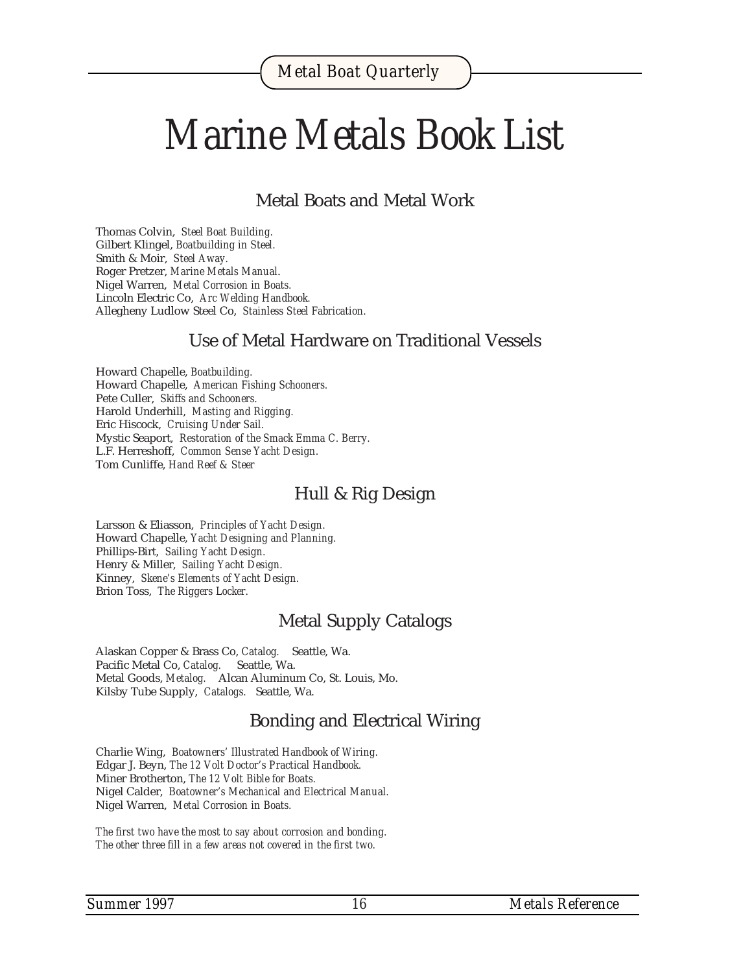## *Marine Metals Book List*

Metal Boats and Metal Work

Thomas Colvin, *Steel Boat Building.* Gilbert Klingel, *Boatbuilding in Steel.* Smith & Moir, *Steel Away.* Roger Pretzer, *Marine Metals Manual*. Nigel Warren, *Metal Corrosion in Boats.* Lincoln Electric Co, *Arc Welding Handbook.* Allegheny Ludlow Steel Co, *Stainless Steel Fabrication.*

#### Use of Metal Hardware on Traditional Vessels

Howard Chapelle, *Boatbuilding.* Howard Chapelle, *American Fishing Schooners.* Pete Culler, *Skiffs and Schooners.* Harold Underhill, *Masting and Rigging.* Eric Hiscock, *Cruising Under Sail.* Mystic Seaport, *Restoration of the Smack Emma C. Berry.* L.F. Herreshoff, *Common Sense Yacht Design.* Tom Cunliffe, *Hand Reef & Steer*

#### Hull & Rig Design

Larsson & Eliasson, *Principles of Yacht Design.* Howard Chapelle, *Yacht Designing and Planning.* Phillips-Birt, *Sailing Yacht Design.* Henry & Miller, *Sailing Yacht Design.* Kinney, *Skene's Elements of Yacht Design.* Brion Toss, *The Riggers Locker.*

#### Metal Supply Catalogs

Alaskan Copper & Brass Co, *Catalog.* Seattle, Wa. Pacific Metal Co, *Catalog.* Seattle, Wa. Metal Goods, *Metalog.* Alcan Aluminum Co, St. Louis, Mo. Kilsby Tube Supply, *Catalogs.* Seattle, Wa.

#### Bonding and Electrical Wiring

Charlie Wing, *Boatowners' Illustrated Handbook of Wiring.* Edgar J. Beyn, *The 12 Volt Doctor's Practical Handbook.* Miner Brotherton, *The 12 Volt Bible for Boats.* Nigel Calder, *Boatowner's Mechanical and Electrical Manual.* Nigel Warren, *Metal Corrosion in Boats.*

*The first two have the most to say about corrosion and bonding. The other three fill in a few areas not covered in the first two.*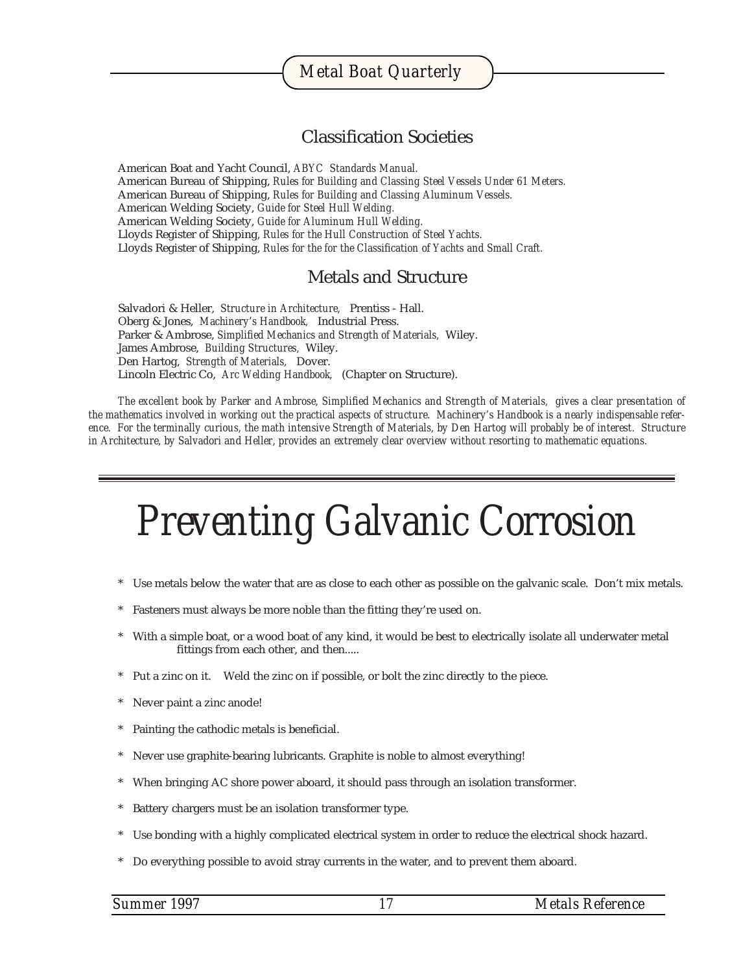#### Classification Societies

American Boat and Yacht Council, *ABYC Standards Manual.* American Bureau of Shipping, *Rules for Building and Classing Steel Vessels Under 61 Meters.* American Bureau of Shipping, *Rules for Building and Classing Aluminum Vessels.* American Welding Society, *Guide for Steel Hull Welding.* American Welding Society, *Guide for Aluminum Hull Welding.* Lloyds Register of Shipping, *Rules for the Hull Construction of Steel Yachts.* Lloyds Register of Shipping, *Rules for the for the Classification of Yachts and Small Craft.*

#### Metals and Structure

Salvadori & Heller, *Structure in Architecture,* Prentiss - Hall. Oberg & Jones, *Machinery's Handbook,* Industrial Press. Parker & Ambrose, *Simplified Mechanics and Strength of Materials,* Wiley. James Ambrose, *Building Structures,* Wiley. Den Hartog, *Strength of Materials,* Dover. Lincoln Electric Co, *Arc Welding Handbook,* (Chapter on Structure).

*The excellent book by Parker and Ambrose, Simplified Mechanics and Strength of Materials, gives a clear presentation of the mathematics involved in working out the practical aspects of structure. Machinery's Handbook is a nearly indispensable reference. For the terminally curious, the math intensive Strength of Materials, by Den Hartog will probably be of interest. Structure in Architecture, by Salvadori and Heller, provides an extremely clear overview without resorting to mathematic equations.*

## *Preventing Galvanic Corrosion*

- Use metals below the water that are as close to each other as possible on the galvanic scale. Don't mix metals.
- Fasteners must always be more noble than the fitting they're used on.
- With a simple boat, or a wood boat of any kind, it would be best to electrically isolate all underwater metal fittings from each other, and then.....
- Put a zinc on it. Weld the zinc on if possible, or bolt the zinc directly to the piece.
- Never paint a zinc anode!
- Painting the cathodic metals is beneficial.
- Never use graphite-bearing lubricants. Graphite is noble to almost everything!
- When bringing AC shore power aboard, it should pass through an isolation transformer.
- Battery chargers must be an isolation transformer type.
- Use bonding with a highly complicated electrical system in order to reduce the electrical shock hazard.
- \* Do everything possible to avoid stray currents in the water, and to prevent them aboard.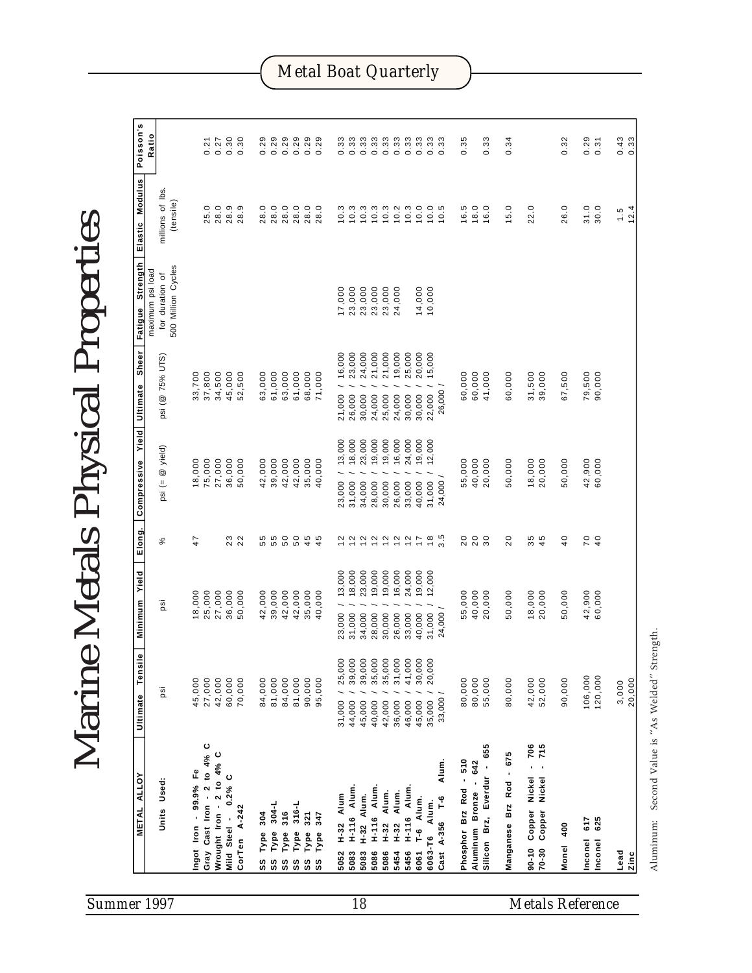| Poisson's<br>Ratio<br>0.30<br>0.30<br>0.29<br>0.29<br>0.29<br>0.29<br>0.29<br>0.29<br>0.33<br>0.33<br>0.33<br>0.33<br>0.33<br>0.33<br>0.33<br>0.33<br>0.29<br>0.43<br>0.33<br>0.33<br>0.35<br>0.33<br>0.34<br>0.32<br>0.21<br>0.27<br>0.31<br>Elastic Modulus<br>millions of lbs.<br>(tensile)<br>28.0<br>28.9<br>ၜ<br>28.0<br>28.0<br>28.0<br>$28.0$<br>$28.0$<br>$\begin{array}{c} 0.3 \\ 0.03 \\ 1 \end{array}$<br>10.3<br>10.3<br>10.2<br>10.3<br>10.0<br>10.0<br>16.5<br>18.0<br>31.0<br>30.0<br>25.0<br>28.0<br>5<br>16.0<br>5.0<br>22.0<br>26.0<br>1.5<br>$\frac{1}{2}$<br>28.<br><i>Marine Metals Physical Properties</i><br>Fatigue Strength<br>500 Million Cycles<br>maximum psi load<br>for duration of<br>17,000<br>23,000<br>23,000<br>23,000<br>23,000<br>14,000<br>24,000<br>10,000<br>Sheer<br>24,000<br>21,000<br>25,000<br>20,000<br>21,000 / 16,000<br>23,000<br>21,000<br>19,000<br>15,000<br>psi (@ 75% UTS)<br>37,800<br>34,500<br>61,000<br>63,000<br>61,000<br>68,000<br>71,000<br>79,500<br>33,700<br>45,000<br>52,500<br>63,000<br>90,000<br>60,000<br>60,000<br>41,000<br>60,000<br>31,500<br>39,000<br>67,500<br>Compressive Yield Ultimate<br>26,000 /<br>22,000 /<br>30,000<br>24,000<br>25,000<br>24,000<br>30,000<br>26,000<br>30,000<br>19,000<br>24,000<br>13,000<br>18,000<br>23,000<br>19,000<br>16,000<br>19,000<br>12,000<br>@ yield)<br>18,000<br>75,000<br>27,000<br>36,000<br>50,000<br>42,000<br>42,000<br>42,000<br>35,000<br>40,000<br>55,000<br>40,000<br>20,000<br>42,900<br>60,000<br>39,000<br>50,000<br>18,000<br>20,000<br>50,000<br>24,000 /<br>psi (=<br>23,000<br>31,000<br>31,000<br>34,000<br>28,000<br>30,000<br>26,000<br>33,000<br>40,000<br>Elong.<br>$3.\overline{5}$<br>23<br>22<br>45<br>20<br>20<br>30<br>20<br>35<br>45<br>40<br>70<br>47<br>వ్<br>19,000<br>24,000<br>Minimum Yield<br>13,000<br>18,000<br>23,000<br>19,000<br>16,000<br>19,000<br>12,000<br>42,900<br>60,000<br>25,000<br>27,000<br>36,000<br>50,000<br>42,000<br>39,000<br>42,000<br>42,000<br>35,000<br>40,000<br>55,000<br>40,000<br>20,000<br>50,000<br>18,000<br>50,000<br>18,000<br>20,000<br>psi<br>24,000 /<br>31,000<br>33,000<br>40,000<br>23,000<br>34,000<br>30,000<br>26,000<br>31,000<br>28,000<br>₾<br>25,000<br>39,000<br>39,000<br>35,000<br>35,000<br>31,000<br>41,000<br>30,000<br>20,000<br>Tensil<br>106,000<br>120,000<br>27,000<br>42,000<br>60,000<br>70,000<br>84,000<br>81,000<br>84,000<br>81,000<br>90,000<br>95,000<br>80,000<br>80,000<br>55,000<br>80,000<br>42,000<br>52,000<br>90,000<br>45,000<br>jg<br>Ultimate<br>33,000<br>35,000<br>31,000<br>45,000<br>44,000<br>45,000<br>42,000<br>46,000<br>40,000<br>36,000<br>Gray Cast Iron - 2 to 4% C<br>655<br>706<br>715<br>Wrought Iron - 2 to 4% C<br>675<br>Phosphor Brz Rod - 510<br>Aluminum Bronze - 642<br>Alum<br>Silicon Brz, Everdur -<br>Ingot Iron - 99.9% Fe<br>Manganese Brz Rod -<br><b>METAL ALLOY</b><br>Nickel<br>Mild Steel - 0.2% C<br>Nickel<br>Units Used:<br>H-116 Alum.<br><b>H-116 Alum</b><br><b>H-116 Alum</b><br>H-32 Alum.<br>Alum.<br>H-32 Alum.<br>H-32 Alum<br>Cast A-356 T-6<br>T-6 Alum.<br>Alum.<br>316-L<br>$304-L$<br>CorTen A-242<br>Copper<br>Copper<br>316<br>321<br>304<br>347<br>625<br>617<br>$H - 32$<br>Monel 400<br>Type<br>Type<br>Type<br>Type<br>Type<br>Туре<br>6063-T6<br>Inconel<br>Inconel<br>$70 - 30$<br>$90 - 10$<br>5456<br>6061<br>Lead<br>5083<br>5083<br>5086<br>5086<br>5454<br>5052<br>SS<br>SS<br>SS<br>SS<br>SS<br>SS | Summer 1997 |  |  |  |  |  | 18 |  |  |  |  |  | <b>Metals Reference</b> |  |  |       |        |
|----------------------------------------------------------------------------------------------------------------------------------------------------------------------------------------------------------------------------------------------------------------------------------------------------------------------------------------------------------------------------------------------------------------------------------------------------------------------------------------------------------------------------------------------------------------------------------------------------------------------------------------------------------------------------------------------------------------------------------------------------------------------------------------------------------------------------------------------------------------------------------------------------------------------------------------------------------------------------------------------------------------------------------------------------------------------------------------------------------------------------------------------------------------------------------------------------------------------------------------------------------------------------------------------------------------------------------------------------------------------------------------------------------------------------------------------------------------------------------------------------------------------------------------------------------------------------------------------------------------------------------------------------------------------------------------------------------------------------------------------------------------------------------------------------------------------------------------------------------------------------------------------------------------------------------------------------------------------------------------------------------------------------------------------------------------------------------------------------------------------------------------------------------------------------------------------------------------------------------------------------------------------------------------------------------------------------------------------------------------------------------------------------------------------------------------------------------------------------------------------------------------------------------------------------------------------------------------------------------------------------------------------------------------------------------------------------------------------------------------------------------------------------------------------------------------------------------------------------------------------------------------------------------------------------------------------------------------------------------------------------------------------------------------------------------------------------------------------------------------------------------------------------------------------------------------------------------------------------------------------------------------------------------------------------------------------------------------------------------------------------------------------------------------------------------------------------------------------------------------------------------|-------------|--|--|--|--|--|----|--|--|--|--|--|-------------------------|--|--|-------|--------|
|                                                                                                                                                                                                                                                                                                                                                                                                                                                                                                                                                                                                                                                                                                                                                                                                                                                                                                                                                                                                                                                                                                                                                                                                                                                                                                                                                                                                                                                                                                                                                                                                                                                                                                                                                                                                                                                                                                                                                                                                                                                                                                                                                                                                                                                                                                                                                                                                                                                                                                                                                                                                                                                                                                                                                                                                                                                                                                                                                                                                                                                                                                                                                                                                                                                                                                                                                                                                                                                                                                          |             |  |  |  |  |  |    |  |  |  |  |  |                         |  |  |       | Izinc  |
|                                                                                                                                                                                                                                                                                                                                                                                                                                                                                                                                                                                                                                                                                                                                                                                                                                                                                                                                                                                                                                                                                                                                                                                                                                                                                                                                                                                                                                                                                                                                                                                                                                                                                                                                                                                                                                                                                                                                                                                                                                                                                                                                                                                                                                                                                                                                                                                                                                                                                                                                                                                                                                                                                                                                                                                                                                                                                                                                                                                                                                                                                                                                                                                                                                                                                                                                                                                                                                                                                                          |             |  |  |  |  |  |    |  |  |  |  |  |                         |  |  | 3,000 | 20,000 |
|                                                                                                                                                                                                                                                                                                                                                                                                                                                                                                                                                                                                                                                                                                                                                                                                                                                                                                                                                                                                                                                                                                                                                                                                                                                                                                                                                                                                                                                                                                                                                                                                                                                                                                                                                                                                                                                                                                                                                                                                                                                                                                                                                                                                                                                                                                                                                                                                                                                                                                                                                                                                                                                                                                                                                                                                                                                                                                                                                                                                                                                                                                                                                                                                                                                                                                                                                                                                                                                                                                          |             |  |  |  |  |  |    |  |  |  |  |  |                         |  |  |       |        |
|                                                                                                                                                                                                                                                                                                                                                                                                                                                                                                                                                                                                                                                                                                                                                                                                                                                                                                                                                                                                                                                                                                                                                                                                                                                                                                                                                                                                                                                                                                                                                                                                                                                                                                                                                                                                                                                                                                                                                                                                                                                                                                                                                                                                                                                                                                                                                                                                                                                                                                                                                                                                                                                                                                                                                                                                                                                                                                                                                                                                                                                                                                                                                                                                                                                                                                                                                                                                                                                                                                          |             |  |  |  |  |  |    |  |  |  |  |  |                         |  |  |       |        |
|                                                                                                                                                                                                                                                                                                                                                                                                                                                                                                                                                                                                                                                                                                                                                                                                                                                                                                                                                                                                                                                                                                                                                                                                                                                                                                                                                                                                                                                                                                                                                                                                                                                                                                                                                                                                                                                                                                                                                                                                                                                                                                                                                                                                                                                                                                                                                                                                                                                                                                                                                                                                                                                                                                                                                                                                                                                                                                                                                                                                                                                                                                                                                                                                                                                                                                                                                                                                                                                                                                          |             |  |  |  |  |  |    |  |  |  |  |  |                         |  |  |       |        |
|                                                                                                                                                                                                                                                                                                                                                                                                                                                                                                                                                                                                                                                                                                                                                                                                                                                                                                                                                                                                                                                                                                                                                                                                                                                                                                                                                                                                                                                                                                                                                                                                                                                                                                                                                                                                                                                                                                                                                                                                                                                                                                                                                                                                                                                                                                                                                                                                                                                                                                                                                                                                                                                                                                                                                                                                                                                                                                                                                                                                                                                                                                                                                                                                                                                                                                                                                                                                                                                                                                          |             |  |  |  |  |  |    |  |  |  |  |  |                         |  |  |       |        |
|                                                                                                                                                                                                                                                                                                                                                                                                                                                                                                                                                                                                                                                                                                                                                                                                                                                                                                                                                                                                                                                                                                                                                                                                                                                                                                                                                                                                                                                                                                                                                                                                                                                                                                                                                                                                                                                                                                                                                                                                                                                                                                                                                                                                                                                                                                                                                                                                                                                                                                                                                                                                                                                                                                                                                                                                                                                                                                                                                                                                                                                                                                                                                                                                                                                                                                                                                                                                                                                                                                          |             |  |  |  |  |  |    |  |  |  |  |  |                         |  |  |       |        |
|                                                                                                                                                                                                                                                                                                                                                                                                                                                                                                                                                                                                                                                                                                                                                                                                                                                                                                                                                                                                                                                                                                                                                                                                                                                                                                                                                                                                                                                                                                                                                                                                                                                                                                                                                                                                                                                                                                                                                                                                                                                                                                                                                                                                                                                                                                                                                                                                                                                                                                                                                                                                                                                                                                                                                                                                                                                                                                                                                                                                                                                                                                                                                                                                                                                                                                                                                                                                                                                                                                          |             |  |  |  |  |  |    |  |  |  |  |  |                         |  |  |       | 12.4   |
|                                                                                                                                                                                                                                                                                                                                                                                                                                                                                                                                                                                                                                                                                                                                                                                                                                                                                                                                                                                                                                                                                                                                                                                                                                                                                                                                                                                                                                                                                                                                                                                                                                                                                                                                                                                                                                                                                                                                                                                                                                                                                                                                                                                                                                                                                                                                                                                                                                                                                                                                                                                                                                                                                                                                                                                                                                                                                                                                                                                                                                                                                                                                                                                                                                                                                                                                                                                                                                                                                                          |             |  |  |  |  |  |    |  |  |  |  |  |                         |  |  |       | 0.33   |

Aluminum: Second Value is "As Welded" Strength.

Aluminum: Second Value is "As Welded" Strength.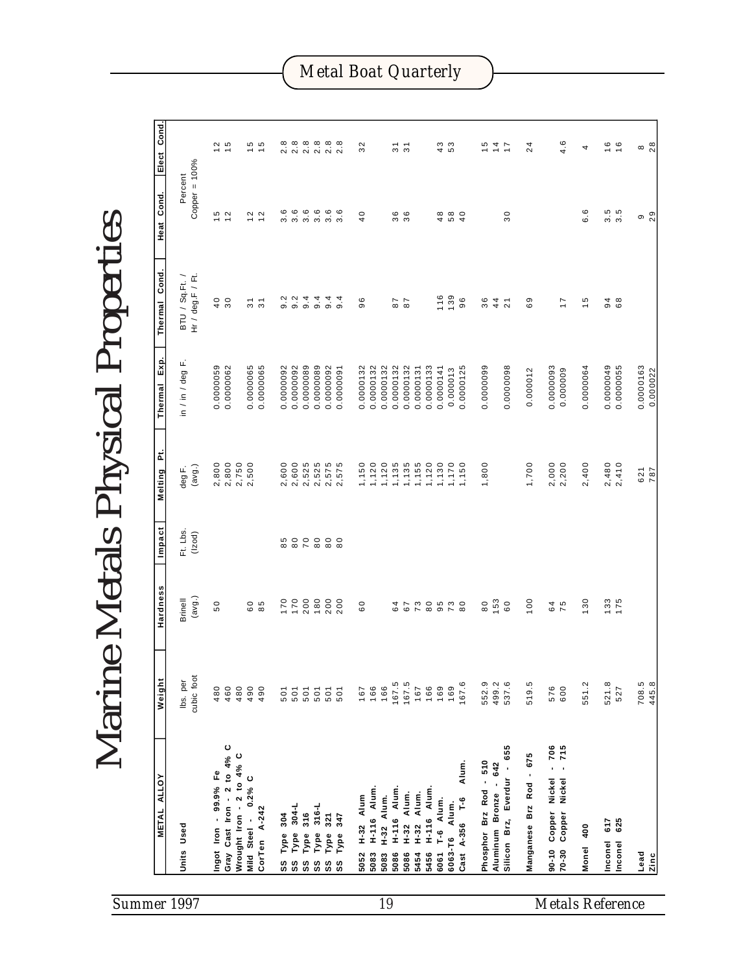| Summer 1997                   |                              |                  |                  |                                                     |                                                              |                |                                          |                   |                         |                        |                     |                   |                                      |                     |                           | 19                 |                     |                           |                           |                            |                   |               |                             |                        |                       |                             |                         |                                      |                                         | <b>Metals Reference</b> |                |                                         |                       |
|-------------------------------|------------------------------|------------------|------------------|-----------------------------------------------------|--------------------------------------------------------------|----------------|------------------------------------------|-------------------|-------------------------|------------------------|---------------------|-------------------|--------------------------------------|---------------------|---------------------------|--------------------|---------------------|---------------------------|---------------------------|----------------------------|-------------------|---------------|-----------------------------|------------------------|-----------------------|-----------------------------|-------------------------|--------------------------------------|-----------------------------------------|-------------------------|----------------|-----------------------------------------|-----------------------|
|                               | <b>ALLOY</b><br><b>METAL</b> | Units Used       |                  | Ingot Iron - 99.9% Fe                               | Gray Cast Iron - 2 to $4\%$ C<br>Wrought Iron - 2 to $4\%$ C |                | $0.2%$ C<br>CorTen A-242<br>Mild Steel - | 304<br>Type<br>SS | $304 - L$<br>Type<br>SS | 316<br>Type<br>SS      | 316-L<br>Type<br>SS | 321<br>Type<br>SS | 347<br>Type<br>SS                    | $H-32$ Alum<br>5052 | Alum<br>$H - 116$<br>5083 | H-32 Alum.<br>5083 | H-116 Alum.<br>5086 | Alum.<br>$H - 32$<br>5086 | Alum.<br>$H - 32$<br>5454 | <b>H-116 Alum.</b><br>5456 | T-6 Alum.<br>6061 | 6063-T6 Alum. | Alum.<br>$-1$<br>Cast A-356 | Phosphor Brz Rod - 510 | Aluminum Bronze - 642 | 655<br>Silicon Brz, Everdur | Manganese Brz Rod - 675 | $-706$<br>Copper Nickel<br>$90 - 10$ | $-715$<br>Nickel<br>Copper<br>$70 - 30$ | Monel 400               | 617<br>Inconel | 625<br>Inconel                          | Lead<br><b>Zinc</b>   |
| Marin                         | Weight                       | lbs. per         | cubic foot       | 480                                                 | 460                                                          | 480            | 490<br>490                               | 501               | 501                     | 501                    | 501                 |                   | 501<br>501                           | 167                 | 166                       | 166                |                     | $167.5$<br>$167.5$        | 167                       | 166                        | 169               | 169           | 167.6                       | 552.9                  |                       | 499.2<br>537.6              | 519.5                   | 576                                  | 600                                     | 551.2                   | 521.8          | 527                                     | 708.5<br>445.8        |
|                               | Hardness                     | <b>Brinell</b>   | (avg.)           | 50                                                  |                                                              |                | 6 0<br>8 9                               | 170               | 170                     | 200                    | 180                 | 200               | 200                                  | $^{0}$              |                           |                    | 64                  | 67                        |                           |                            | 7000700           |               |                             | $\overline{8}$         | 153                   | 60                          | 100                     |                                      | 64<br>75                                | 130                     | 133            | 175                                     |                       |
|                               | Impact                       | Ft. Lbs.         | (lzod)           |                                                     |                                                              |                |                                          |                   | 85<br>80                | $\overline{70}$        |                     | 80000             |                                      |                     |                           |                    |                     |                           |                           |                            |                   |               |                             |                        |                       |                             |                         |                                      |                                         |                         |                |                                         |                       |
|                               | تم<br>Melting                | deg F.           | (avg.)           | 2,800                                               | 2,800                                                        | 2,750<br>2,500 |                                          | 2,600             | 2,600                   | 2,525                  | 2,525               | 2,575             | 2,575                                | 1,150               | 1,120                     | 1,120              | 1,135               | 1,135                     | 1,155                     | 1,120                      | 1,130             | 1,170         | 1,150                       | 1,800                  |                       |                             | 1,700                   | 2,000                                | 2,200                                   | 2,400                   | 2,480          | 2,410                                   | 621<br>787            |
|                               | Exp.<br>Thermal              | in / in / deg F. |                  | 0.0000059                                           | 0.0000062                                                    |                | 0.0000065<br>0.0000065                   | 0.0000092         | 0.0000092               | 0.0000089              | 0.0000089           | 0.0000092         | 0.0000091                            | 0.0000132           | 0.0000132                 | 0.0000132          | 0.0000132           | 0.0000132                 | 0.0000131                 | 0.0000133                  | 0.0000141         | 0.000013      | 0.0000125                   | 0.0000099              |                       | 0.0000098                   | 0.000012                | 0.0000093                            | 0.000009                                | 0.0000064               | 0.0000049      | 0.0000055                               | 0.0000163<br>0.000022 |
| le Metals Physical Properties | Cond.<br>Thermal             | BTU / Sq.Ft. /   | Hr / deg.F / Ft. | $\begin{smallmatrix} 0 \\ 4 \\ 0 \end{smallmatrix}$ |                                                              |                | $\overline{3}$ 1<br>$\mathfrak{S}$       | 9.2               | 9.2                     | 9.4                    | 9.4                 | 9.4               | 9.4                                  | 96                  |                           |                    | 87                  | 87                        |                           |                            | 116               | 139           | 96                          | 36                     | 44                    | $\sim$                      | 69                      |                                      | $\overline{1}$                          | $\frac{6}{1}$           | 94             | 68                                      |                       |
|                               | Cond.<br>Heat                | Percent          | Copper = 100%    | $15$<br>$12$                                        |                                                              |                | $\sim$ $\sim$<br>$\overline{ }$          | ٯ<br>6            | $\circ$<br>က            | $3.\overline{6}$       | $3.\overline{6}$    |                   | $3.\overline{6}$                     | 40                  |                           |                    | 36                  | 36                        |                           |                            | 48                | 58            | $\overline{4}$              |                        |                       | 30                          |                         |                                      |                                         | 6.6                     |                | $\begin{array}{c} 5 \\ 3.5 \end{array}$ | $0\degree$            |
|                               | Cond.<br>Elect               |                  |                  | $\frac{2}{1}$ 5                                     |                                                              |                | 10 IO<br>$\overline{\phantom{0}}$        |                   |                         | 8 8 8 8 8<br>8 8 8 8 8 |                     |                   | $2.\overline{8}$<br>$2.\overline{8}$ | 32                  |                           |                    | $\overline{3}$      | $\overline{3}$            |                           |                            | $49$<br>53        |               |                             |                        | $154$<br>$77$         |                             | $^{24}$                 |                                      | 4.6                                     | 4                       |                | $\begin{array}{c} 6 \\ 1 \end{array}$   | $\frac{8}{2}$         |